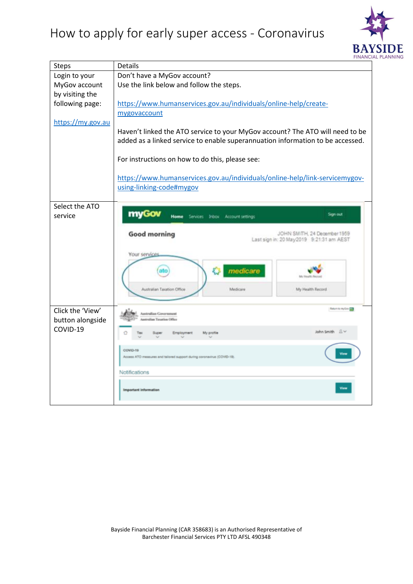

| <b>Steps</b>                 | Details                                                                        |  |
|------------------------------|--------------------------------------------------------------------------------|--|
| Login to your                | Don't have a MyGov account?                                                    |  |
| MyGov account                | Use the link below and follow the steps.                                       |  |
| by visiting the              |                                                                                |  |
| following page:              | https://www.humanservices.gov.au/individuals/online-help/create-               |  |
|                              | mygovaccount                                                                   |  |
| https://my.gov.au            |                                                                                |  |
|                              | Haven't linked the ATO service to your MyGov account? The ATO will need to be  |  |
|                              | added as a linked service to enable superannuation information to be accessed. |  |
|                              |                                                                                |  |
|                              | For instructions on how to do this, please see:                                |  |
|                              | https://www.humanservices.gov.au/individuals/online-help/link-servicemygov-    |  |
|                              | using-linking-code#mygov                                                       |  |
|                              |                                                                                |  |
| Select the ATO               |                                                                                |  |
| service                      | myGov<br>Sign out<br>Home<br>Services Inbox Account settings                   |  |
|                              |                                                                                |  |
|                              | <b>Good morning</b><br>JOHN SMITH, 24 December 1959                            |  |
|                              | Last sign in: 20 May 2019 9:21:31 am AEST                                      |  |
|                              | Your services                                                                  |  |
|                              |                                                                                |  |
|                              | medicare                                                                       |  |
|                              |                                                                                |  |
|                              | My Health Record<br>Australian Taxation Office<br>Medicare                     |  |
|                              |                                                                                |  |
| Click the 'View'             | Return to my Gov                                                               |  |
|                              | <b>Australian Government</b><br>stralian Taxation Office                       |  |
| button alongside<br>COVID-19 |                                                                                |  |
|                              | John Smith Av<br><b>Employment</b><br>My profile<br>Supe                       |  |
|                              | COVID-19                                                                       |  |
|                              | Access ATO measures and tailored support during coronavirus (COVID-19)         |  |
|                              |                                                                                |  |
|                              | Notifications                                                                  |  |
|                              | <b>Important information</b>                                                   |  |
|                              |                                                                                |  |
|                              |                                                                                |  |

Bayside Financial Planning (CAR 358683) is an Authorised Representative of Barchester Financial Services PTY LTD AFSL 490348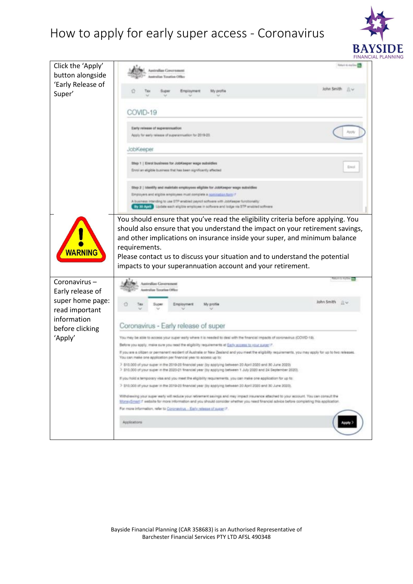

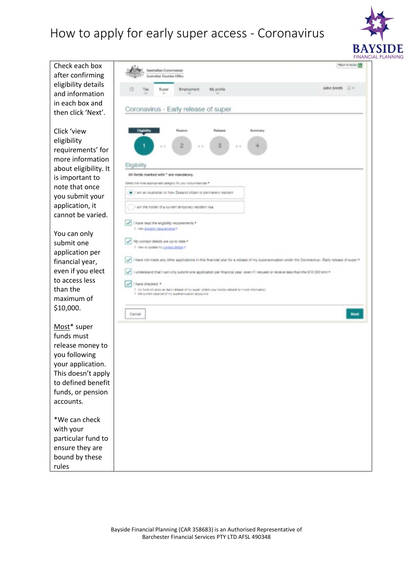

|                                                                     |                                                                                                                                                             | <b>FINANC</b>            |
|---------------------------------------------------------------------|-------------------------------------------------------------------------------------------------------------------------------------------------------------|--------------------------|
| Check each box<br>after confirming                                  | <b>Australian Government</b><br>stralism Taxarikee Office                                                                                                   | <b>North for Strings</b> |
| eligibility details<br>and information                              | My profile<br>ο<br>Employment<br>Supe                                                                                                                       | John Smith J.V           |
| in each box and                                                     |                                                                                                                                                             |                          |
| then click 'Next'.                                                  | Coronavirus - Early release of super                                                                                                                        |                          |
| Click 'view<br>eligibility<br>requirements' for<br>more information | Rafease<br>Russon<br>Buremary<br>2<br>8.1                                                                                                                   |                          |
| about eligibility. It                                               | Eligibility                                                                                                                                                 |                          |
| is important to                                                     | All fields marked with * are mandatory.                                                                                                                     |                          |
| note that once                                                      | Select the most appropriate category for your circumstances. <sup>4</sup>                                                                                   |                          |
| you submit your                                                     | I am an Australian or New Zealand citizen or permanent resident                                                                                             |                          |
| application, it                                                     | I am the holder of a current temporary resident visa                                                                                                        |                          |
| cannot be varied.                                                   | I have read the eligibility requirements *                                                                                                                  |                          |
| You can only                                                        | > ver glabit characters'                                                                                                                                    |                          |
| submit one                                                          | My contact details are up to date *<br>3 View or update my contact details in                                                                               |                          |
| application per                                                     |                                                                                                                                                             |                          |
| financial year,                                                     | I have not made any other applications in this financial year for a release of my superamuation under the Contraintus - Early release of super *            |                          |
| even if you elect                                                   | I understand that I can only submit one application per financial year, even if I lequest or receive less than the \$10,000 limit *                         |                          |
| to access less                                                      | have checked. *                                                                                                                                             |                          |
| than the                                                            | 2. Iny fund will allow an early retease of my super joheok your funds inebale for more information:<br>7 the current balance of my superannuation account/s |                          |
| maximum of                                                          |                                                                                                                                                             |                          |
| \$10,000.                                                           | Cantel                                                                                                                                                      |                          |
| Most* super                                                         |                                                                                                                                                             |                          |
| funds must                                                          |                                                                                                                                                             |                          |
| release money to                                                    |                                                                                                                                                             |                          |
| you following                                                       |                                                                                                                                                             |                          |
| your application.                                                   |                                                                                                                                                             |                          |
| This doesn't apply                                                  |                                                                                                                                                             |                          |
| to defined benefit                                                  |                                                                                                                                                             |                          |
| funds, or pension                                                   |                                                                                                                                                             |                          |
| accounts.                                                           |                                                                                                                                                             |                          |
| *We can check                                                       |                                                                                                                                                             |                          |
| with your                                                           |                                                                                                                                                             |                          |
| particular fund to                                                  |                                                                                                                                                             |                          |
| ensure they are                                                     |                                                                                                                                                             |                          |
| bound by these                                                      |                                                                                                                                                             |                          |
| rules                                                               |                                                                                                                                                             |                          |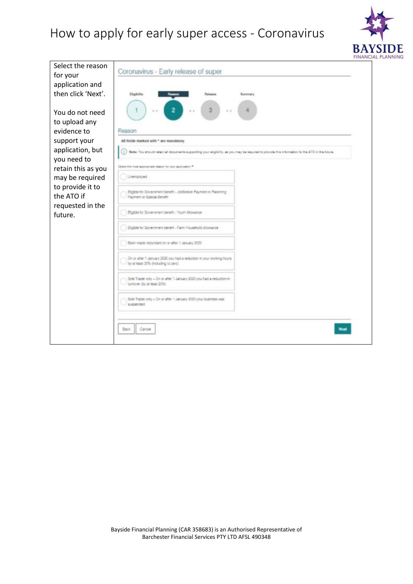

|                                       |                                                                                                                                                 | <b>FINANCIA</b> |
|---------------------------------------|-------------------------------------------------------------------------------------------------------------------------------------------------|-----------------|
| Select the reason<br>for your         | Coronavirus - Early release of super                                                                                                            |                 |
| application and<br>then click 'Next'. | Eliphilty<br>Release<br>Summary                                                                                                                 |                 |
| You do not need<br>to upload any      |                                                                                                                                                 |                 |
| evidence to                           | Reason                                                                                                                                          |                 |
| support your                          | All fields marked with * are mandatory                                                                                                          |                 |
| application, but<br>you need to       | Note: You should relate all documents supporting your eligibility, as you may be required to provide this internation to the ATO in the future. |                 |
| retain this as you                    | Select the most appropriate issued for your application. <sup>4</sup>                                                                           |                 |
| may be required                       | Unemployed                                                                                                                                      |                 |
| to provide it to<br>the ATO if        | Eighte for Government benefit - JobSealer Payment or Palenting<br>Payment or Special Earleft                                                    |                 |
| requested in the<br>future.           | Eighte for Government benefit - Youth Allowance                                                                                                 |                 |
|                                       | Elipble for Government benefit - Farm Household Allowance                                                                                       |                 |
|                                       | Been made redundant on or after 1 January 2020                                                                                                  |                 |
|                                       | On or after 1 January 2020 you had a reduction in your working hours.<br>by at least 20% (induding to zero)                                     |                 |
|                                       | Sole Trader only - On or after 1 January 2020 you had a reduction in<br>surriciver (by at least 20%)                                            |                 |
|                                       | 5th Trader only - On or after 1 January 2020 your business was<br>suspended                                                                     |                 |
|                                       | <b>Back</b><br>Carcel                                                                                                                           |                 |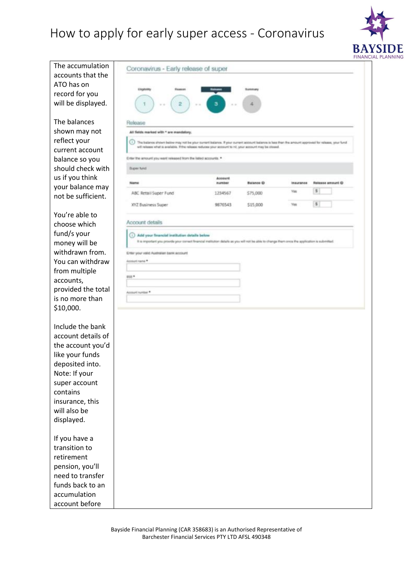

accounts that the ATO has on record for you will be displayed. The balances shown may not reflect your current account balance so you should check with us if you think your balance may not be sufficient. You're able to choose which fund/s your money will be withdrawn from. You can withdraw from multiple accounts, provided the total is no more than \$10,000.

The accumulation

Include the bank account details of the account you'd like your funds deposited into. Note: If your super account contains insurance, this will also be displayed.

If you have a transition to retirement pension, you'll need to transfer funds back to an accumulation account before

| Eligibility<br><b>Flampion</b><br>2<br>з<br>1<br>Release<br>All fields marked with * are mandatory.<br>(i) The ballence shown below may not be your current ballence. If your current account ballence is less than the amount approved for release, your fund<br>will refease what is available. If the release reduces your account to nit, your account may be closed.<br>Enter the amount you went released from the listed accounts. *<br><b>Buper fund</b><br>Account<br>number<br>Name<br>ABC Retail Super Fund<br>1234567<br>XYZ Business Super<br>9876543<br>Account details<br>(i) Add your financial institution details below<br>It is important you provide your conset finencial institution data/a as you will not be able to change them once the application is submitted.<br>Enter your valid Australian bank account<br>Asimurt name *<br>Account number | Summary<br>A<br>Batance O<br>Insurance<br><b>Yas</b><br>\$75,000<br>\$15,000<br><b>Yes</b> | Release amount @<br>s<br>\$ |
|-----------------------------------------------------------------------------------------------------------------------------------------------------------------------------------------------------------------------------------------------------------------------------------------------------------------------------------------------------------------------------------------------------------------------------------------------------------------------------------------------------------------------------------------------------------------------------------------------------------------------------------------------------------------------------------------------------------------------------------------------------------------------------------------------------------------------------------------------------------------------------|--------------------------------------------------------------------------------------------|-----------------------------|
|                                                                                                                                                                                                                                                                                                                                                                                                                                                                                                                                                                                                                                                                                                                                                                                                                                                                             |                                                                                            |                             |
|                                                                                                                                                                                                                                                                                                                                                                                                                                                                                                                                                                                                                                                                                                                                                                                                                                                                             |                                                                                            |                             |
|                                                                                                                                                                                                                                                                                                                                                                                                                                                                                                                                                                                                                                                                                                                                                                                                                                                                             |                                                                                            |                             |
|                                                                                                                                                                                                                                                                                                                                                                                                                                                                                                                                                                                                                                                                                                                                                                                                                                                                             |                                                                                            |                             |
|                                                                                                                                                                                                                                                                                                                                                                                                                                                                                                                                                                                                                                                                                                                                                                                                                                                                             |                                                                                            |                             |
|                                                                                                                                                                                                                                                                                                                                                                                                                                                                                                                                                                                                                                                                                                                                                                                                                                                                             |                                                                                            |                             |
|                                                                                                                                                                                                                                                                                                                                                                                                                                                                                                                                                                                                                                                                                                                                                                                                                                                                             |                                                                                            |                             |
|                                                                                                                                                                                                                                                                                                                                                                                                                                                                                                                                                                                                                                                                                                                                                                                                                                                                             |                                                                                            |                             |
|                                                                                                                                                                                                                                                                                                                                                                                                                                                                                                                                                                                                                                                                                                                                                                                                                                                                             |                                                                                            |                             |
|                                                                                                                                                                                                                                                                                                                                                                                                                                                                                                                                                                                                                                                                                                                                                                                                                                                                             |                                                                                            |                             |
|                                                                                                                                                                                                                                                                                                                                                                                                                                                                                                                                                                                                                                                                                                                                                                                                                                                                             |                                                                                            |                             |
|                                                                                                                                                                                                                                                                                                                                                                                                                                                                                                                                                                                                                                                                                                                                                                                                                                                                             |                                                                                            |                             |
|                                                                                                                                                                                                                                                                                                                                                                                                                                                                                                                                                                                                                                                                                                                                                                                                                                                                             |                                                                                            |                             |
|                                                                                                                                                                                                                                                                                                                                                                                                                                                                                                                                                                                                                                                                                                                                                                                                                                                                             |                                                                                            |                             |
|                                                                                                                                                                                                                                                                                                                                                                                                                                                                                                                                                                                                                                                                                                                                                                                                                                                                             |                                                                                            |                             |
|                                                                                                                                                                                                                                                                                                                                                                                                                                                                                                                                                                                                                                                                                                                                                                                                                                                                             |                                                                                            |                             |
|                                                                                                                                                                                                                                                                                                                                                                                                                                                                                                                                                                                                                                                                                                                                                                                                                                                                             |                                                                                            |                             |
|                                                                                                                                                                                                                                                                                                                                                                                                                                                                                                                                                                                                                                                                                                                                                                                                                                                                             |                                                                                            |                             |
|                                                                                                                                                                                                                                                                                                                                                                                                                                                                                                                                                                                                                                                                                                                                                                                                                                                                             |                                                                                            |                             |
|                                                                                                                                                                                                                                                                                                                                                                                                                                                                                                                                                                                                                                                                                                                                                                                                                                                                             |                                                                                            |                             |
|                                                                                                                                                                                                                                                                                                                                                                                                                                                                                                                                                                                                                                                                                                                                                                                                                                                                             |                                                                                            |                             |
|                                                                                                                                                                                                                                                                                                                                                                                                                                                                                                                                                                                                                                                                                                                                                                                                                                                                             |                                                                                            |                             |
|                                                                                                                                                                                                                                                                                                                                                                                                                                                                                                                                                                                                                                                                                                                                                                                                                                                                             |                                                                                            |                             |
|                                                                                                                                                                                                                                                                                                                                                                                                                                                                                                                                                                                                                                                                                                                                                                                                                                                                             |                                                                                            |                             |
|                                                                                                                                                                                                                                                                                                                                                                                                                                                                                                                                                                                                                                                                                                                                                                                                                                                                             |                                                                                            |                             |
|                                                                                                                                                                                                                                                                                                                                                                                                                                                                                                                                                                                                                                                                                                                                                                                                                                                                             |                                                                                            |                             |
|                                                                                                                                                                                                                                                                                                                                                                                                                                                                                                                                                                                                                                                                                                                                                                                                                                                                             |                                                                                            |                             |
|                                                                                                                                                                                                                                                                                                                                                                                                                                                                                                                                                                                                                                                                                                                                                                                                                                                                             |                                                                                            |                             |
|                                                                                                                                                                                                                                                                                                                                                                                                                                                                                                                                                                                                                                                                                                                                                                                                                                                                             |                                                                                            |                             |
|                                                                                                                                                                                                                                                                                                                                                                                                                                                                                                                                                                                                                                                                                                                                                                                                                                                                             |                                                                                            |                             |
|                                                                                                                                                                                                                                                                                                                                                                                                                                                                                                                                                                                                                                                                                                                                                                                                                                                                             |                                                                                            |                             |
|                                                                                                                                                                                                                                                                                                                                                                                                                                                                                                                                                                                                                                                                                                                                                                                                                                                                             |                                                                                            |                             |
|                                                                                                                                                                                                                                                                                                                                                                                                                                                                                                                                                                                                                                                                                                                                                                                                                                                                             |                                                                                            |                             |
|                                                                                                                                                                                                                                                                                                                                                                                                                                                                                                                                                                                                                                                                                                                                                                                                                                                                             |                                                                                            |                             |
|                                                                                                                                                                                                                                                                                                                                                                                                                                                                                                                                                                                                                                                                                                                                                                                                                                                                             |                                                                                            |                             |
|                                                                                                                                                                                                                                                                                                                                                                                                                                                                                                                                                                                                                                                                                                                                                                                                                                                                             |                                                                                            |                             |
|                                                                                                                                                                                                                                                                                                                                                                                                                                                                                                                                                                                                                                                                                                                                                                                                                                                                             |                                                                                            |                             |
|                                                                                                                                                                                                                                                                                                                                                                                                                                                                                                                                                                                                                                                                                                                                                                                                                                                                             |                                                                                            |                             |
|                                                                                                                                                                                                                                                                                                                                                                                                                                                                                                                                                                                                                                                                                                                                                                                                                                                                             |                                                                                            |                             |